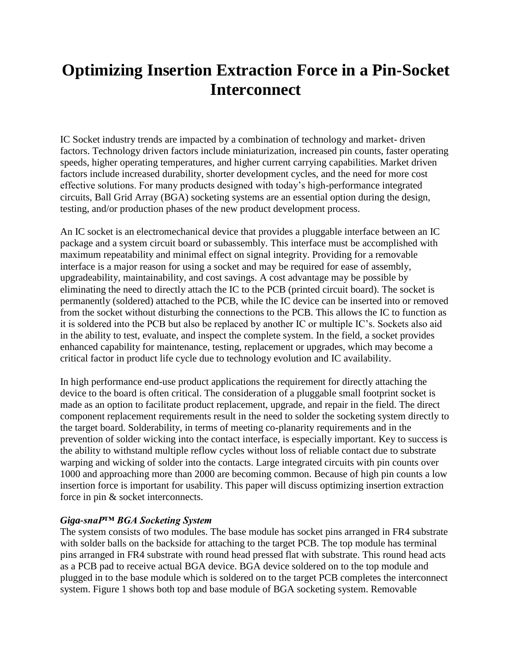# **Optimizing Insertion Extraction Force in a Pin-Socket Interconnect**

IC Socket industry trends are impacted by a combination of technology and market- driven factors. Technology driven factors include miniaturization, increased pin counts, faster operating speeds, higher operating temperatures, and higher current carrying capabilities. Market driven factors include increased durability, shorter development cycles, and the need for more cost effective solutions. For many products designed with today's high-performance integrated circuits, Ball Grid Array (BGA) socketing systems are an essential option during the design, testing, and/or production phases of the new product development process.

An IC socket is an electromechanical device that provides a pluggable interface between an IC package and a system circuit board or subassembly. This interface must be accomplished with maximum repeatability and minimal effect on signal integrity. Providing for a removable interface is a major reason for using a socket and may be required for ease of assembly, upgradeability, maintainability, and cost savings. A cost advantage may be possible by eliminating the need to directly attach the IC to the PCB (printed circuit board). The socket is permanently (soldered) attached to the PCB, while the IC device can be inserted into or removed from the socket without disturbing the connections to the PCB. This allows the IC to function as it is soldered into the PCB but also be replaced by another IC or multiple IC's. Sockets also aid in the ability to test, evaluate, and inspect the complete system. In the field, a socket provides enhanced capability for maintenance, testing, replacement or upgrades, which may become a critical factor in product life cycle due to technology evolution and IC availability.

In high performance end-use product applications the requirement for directly attaching the device to the board is often critical. The consideration of a pluggable small footprint socket is made as an option to facilitate product replacement, upgrade, and repair in the field. The direct component replacement requirements result in the need to solder the socketing system directly to the target board. Solderability, in terms of meeting co-planarity requirements and in the prevention of solder wicking into the contact interface, is especially important. Key to success is the ability to withstand multiple reflow cycles without loss of reliable contact due to substrate warping and wicking of solder into the contacts. Large integrated circuits with pin counts over 1000 and approaching more than 2000 are becoming common. Because of high pin counts a low insertion force is important for usability. This paper will discuss optimizing insertion extraction force in pin & socket interconnects.

#### *Giga-snaP™ BGA Socketing System*

The system consists of two modules. The base module has socket pins arranged in FR4 substrate with solder balls on the backside for attaching to the target PCB. The top module has terminal pins arranged in FR4 substrate with round head pressed flat with substrate. This round head acts as a PCB pad to receive actual BGA device. BGA device soldered on to the top module and plugged in to the base module which is soldered on to the target PCB completes the interconnect system. Figure 1 shows both top and base module of BGA socketing system. Removable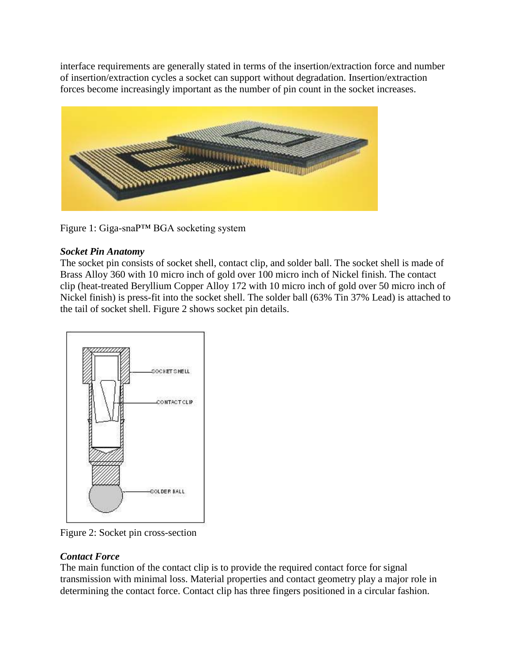interface requirements are generally stated in terms of the insertion/extraction force and number of insertion/extraction cycles a socket can support without degradation. Insertion/extraction forces become increasingly important as the number of pin count in the socket increases.



Figure 1: Giga-snaP™ BGA socketing system

## *Socket Pin Anatomy*

The socket pin consists of socket shell, contact clip, and solder ball. The socket shell is made of Brass Alloy 360 with 10 micro inch of gold over 100 micro inch of Nickel finish. The contact clip (heat-treated Beryllium Copper Alloy 172 with 10 micro inch of gold over 50 micro inch of Nickel finish) is press-fit into the socket shell. The solder ball (63% Tin 37% Lead) is attached to the tail of socket shell. Figure 2 shows socket pin details.



Figure 2: Socket pin cross-section

## *Contact Force*

The main function of the contact clip is to provide the required contact force for signal transmission with minimal loss. Material properties and contact geometry play a major role in determining the contact force. Contact clip has three fingers positioned in a circular fashion.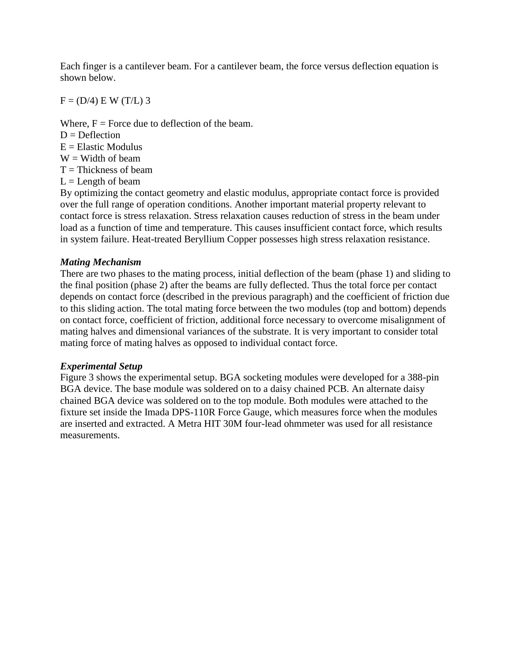Each finger is a cantilever beam. For a cantilever beam, the force versus deflection equation is shown below.

 $F = (D/4) E W (T/L) 3$ 

Where,  $F =$  Force due to deflection of the beam.  $D = Deflection$  $E =$  Elastic Modulus

 $W =$  Width of beam

 $T = Thickness$  of beam

 $L =$ Length of beam

By optimizing the contact geometry and elastic modulus, appropriate contact force is provided over the full range of operation conditions. Another important material property relevant to contact force is stress relaxation. Stress relaxation causes reduction of stress in the beam under load as a function of time and temperature. This causes insufficient contact force, which results in system failure. Heat-treated Beryllium Copper possesses high stress relaxation resistance.

### *Mating Mechanism*

There are two phases to the mating process, initial deflection of the beam (phase 1) and sliding to the final position (phase 2) after the beams are fully deflected. Thus the total force per contact depends on contact force (described in the previous paragraph) and the coefficient of friction due to this sliding action. The total mating force between the two modules (top and bottom) depends on contact force, coefficient of friction, additional force necessary to overcome misalignment of mating halves and dimensional variances of the substrate. It is very important to consider total mating force of mating halves as opposed to individual contact force.

#### *Experimental Setup*

Figure 3 shows the experimental setup. BGA socketing modules were developed for a 388-pin BGA device. The base module was soldered on to a daisy chained PCB. An alternate daisy chained BGA device was soldered on to the top module. Both modules were attached to the fixture set inside the Imada DPS-110R Force Gauge, which measures force when the modules are inserted and extracted. A Metra HIT 30M four-lead ohmmeter was used for all resistance measurements.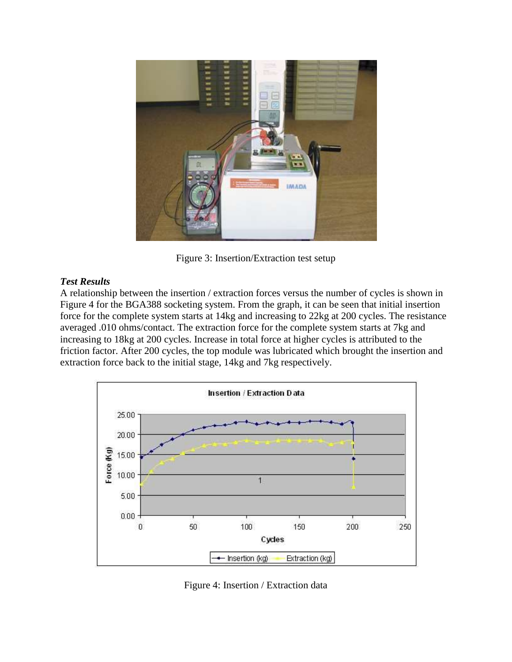

Figure 3: Insertion/Extraction test setup

## *Test Results*

A relationship between the insertion / extraction forces versus the number of cycles is shown in Figure 4 for the BGA388 socketing system. From the graph, it can be seen that initial insertion force for the complete system starts at 14kg and increasing to 22kg at 200 cycles. The resistance averaged .010 ohms/contact. The extraction force for the complete system starts at 7kg and increasing to 18kg at 200 cycles. Increase in total force at higher cycles is attributed to the friction factor. After 200 cycles, the top module was lubricated which brought the insertion and extraction force back to the initial stage, 14kg and 7kg respectively.



Figure 4: Insertion / Extraction data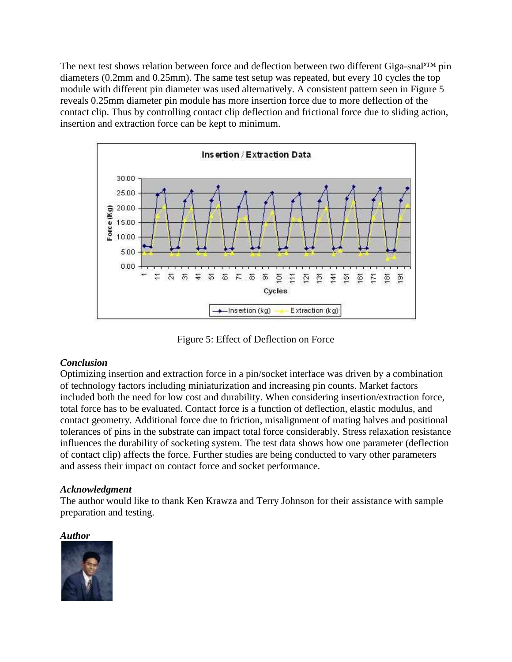The next test shows relation between force and deflection between two different Giga-snaP™ pin diameters (0.2mm and 0.25mm). The same test setup was repeated, but every 10 cycles the top module with different pin diameter was used alternatively. A consistent pattern seen in Figure 5 reveals 0.25mm diameter pin module has more insertion force due to more deflection of the contact clip. Thus by controlling contact clip deflection and frictional force due to sliding action, insertion and extraction force can be kept to minimum.



Figure 5: Effect of Deflection on Force

## *Conclusion*

Optimizing insertion and extraction force in a pin/socket interface was driven by a combination of technology factors including miniaturization and increasing pin counts. Market factors included both the need for low cost and durability. When considering insertion/extraction force, total force has to be evaluated. Contact force is a function of deflection, elastic modulus, and contact geometry. Additional force due to friction, misalignment of mating halves and positional tolerances of pins in the substrate can impact total force considerably. Stress relaxation resistance influences the durability of socketing system. The test data shows how one parameter (deflection of contact clip) affects the force. Further studies are being conducted to vary other parameters and assess their impact on contact force and socket performance.

## *Acknowledgment*

The author would like to thank Ken Krawza and Terry Johnson for their assistance with sample preparation and testing.

#### *Author*